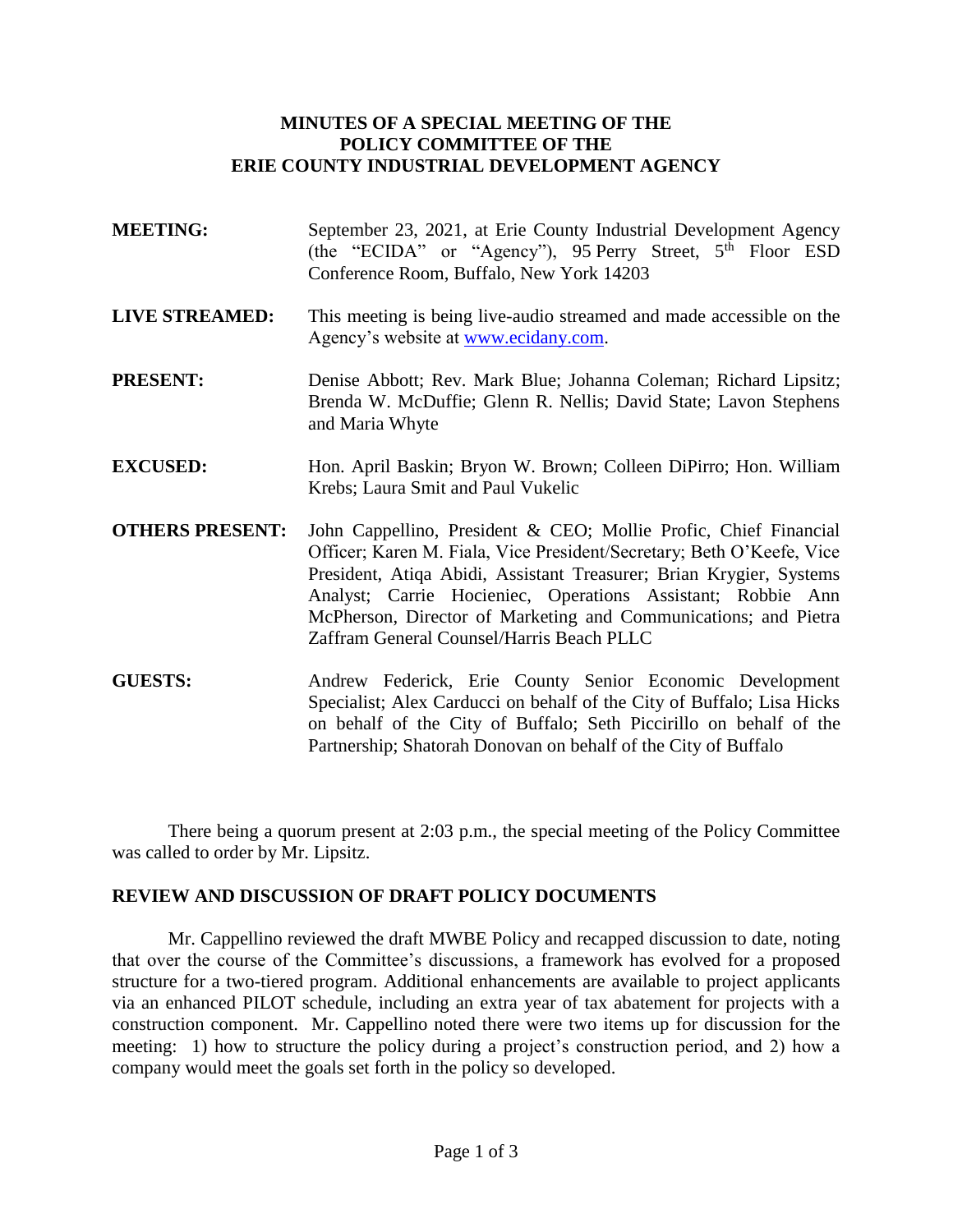## **MINUTES OF A SPECIAL MEETING OF THE POLICY COMMITTEE OF THE ERIE COUNTY INDUSTRIAL DEVELOPMENT AGENCY**

- **MEETING:** September 23, 2021, at Erie County Industrial Development Agency (the "ECIDA" or "Agency"), 95 Perry Street,  $5<sup>th</sup>$  Floor ESD Conference Room, Buffalo, New York 14203
- **LIVE STREAMED:** This meeting is being live-audio streamed and made accessible on the Agency's website at [www.ecidany.com.](http://www.ecidany.com/)
- **PRESENT:** Denise Abbott; Rev. Mark Blue; Johanna Coleman; Richard Lipsitz; Brenda W. McDuffie; Glenn R. Nellis; David State; Lavon Stephens and Maria Whyte
- **EXCUSED:** Hon. April Baskin; Bryon W. Brown; Colleen DiPirro; Hon. William Krebs; Laura Smit and Paul Vukelic
- **OTHERS PRESENT:** John Cappellino, President & CEO; Mollie Profic, Chief Financial Officer; Karen M. Fiala, Vice President/Secretary; Beth O'Keefe, Vice President, Atiqa Abidi, Assistant Treasurer; Brian Krygier, Systems Analyst; Carrie Hocieniec, Operations Assistant; Robbie Ann McPherson, Director of Marketing and Communications; and Pietra Zaffram General Counsel/Harris Beach PLLC
- **GUESTS:** Andrew Federick, Erie County Senior Economic Development Specialist; Alex Carducci on behalf of the City of Buffalo; Lisa Hicks on behalf of the City of Buffalo; Seth Piccirillo on behalf of the Partnership; Shatorah Donovan on behalf of the City of Buffalo

There being a quorum present at 2:03 p.m., the special meeting of the Policy Committee was called to order by Mr. Lipsitz.

## **REVIEW AND DISCUSSION OF DRAFT POLICY DOCUMENTS**

Mr. Cappellino reviewed the draft MWBE Policy and recapped discussion to date, noting that over the course of the Committee's discussions, a framework has evolved for a proposed structure for a two-tiered program. Additional enhancements are available to project applicants via an enhanced PILOT schedule, including an extra year of tax abatement for projects with a construction component. Mr. Cappellino noted there were two items up for discussion for the meeting: 1) how to structure the policy during a project's construction period, and 2) how a company would meet the goals set forth in the policy so developed.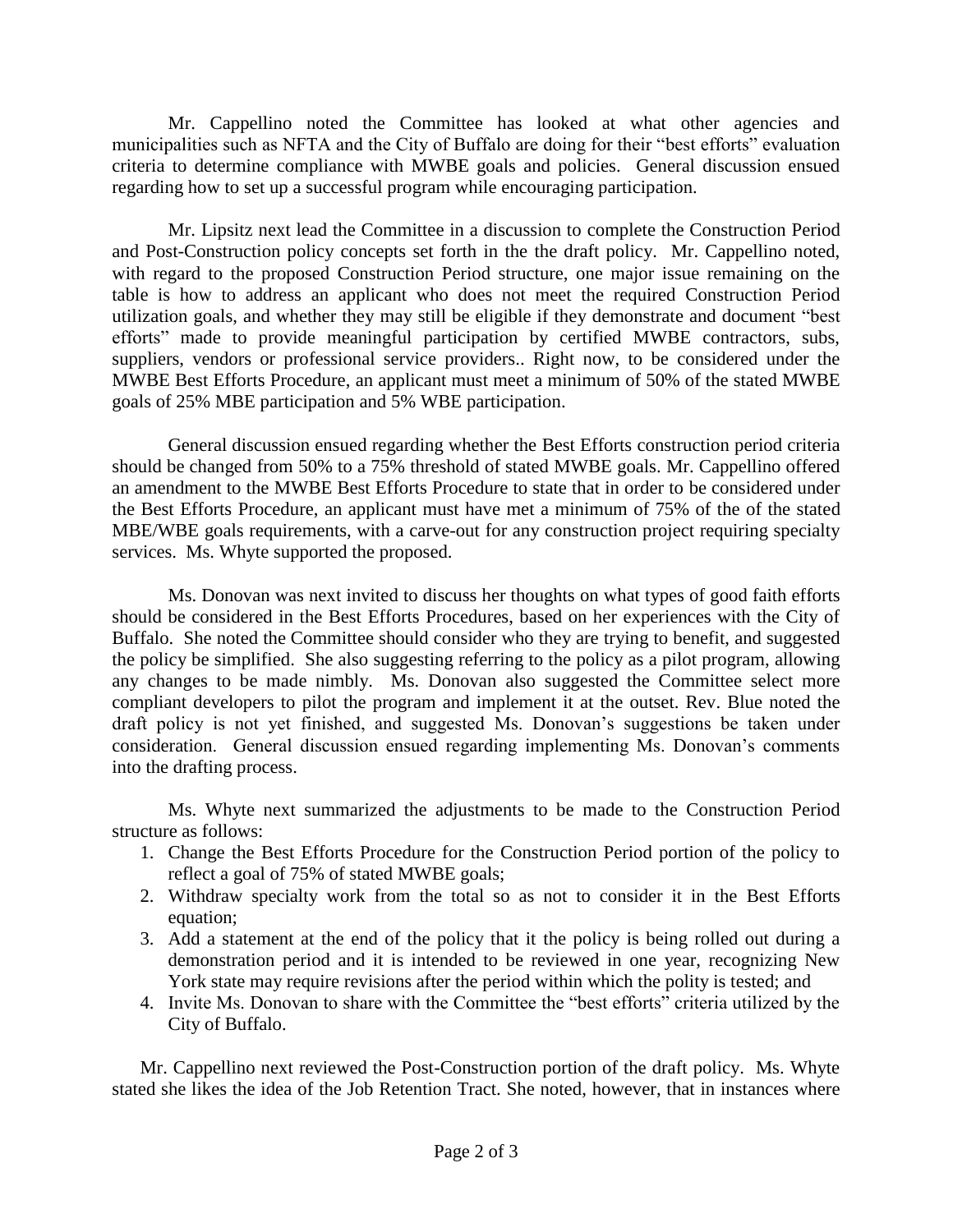Mr. Cappellino noted the Committee has looked at what other agencies and municipalities such as NFTA and the City of Buffalo are doing for their "best efforts" evaluation criteria to determine compliance with MWBE goals and policies. General discussion ensued regarding how to set up a successful program while encouraging participation.

Mr. Lipsitz next lead the Committee in a discussion to complete the Construction Period and Post-Construction policy concepts set forth in the the draft policy. Mr. Cappellino noted, with regard to the proposed Construction Period structure, one major issue remaining on the table is how to address an applicant who does not meet the required Construction Period utilization goals, and whether they may still be eligible if they demonstrate and document "best efforts" made to provide meaningful participation by certified MWBE contractors, subs, suppliers, vendors or professional service providers.. Right now, to be considered under the MWBE Best Efforts Procedure, an applicant must meet a minimum of 50% of the stated MWBE goals of 25% MBE participation and 5% WBE participation.

General discussion ensued regarding whether the Best Efforts construction period criteria should be changed from 50% to a 75% threshold of stated MWBE goals. Mr. Cappellino offered an amendment to the MWBE Best Efforts Procedure to state that in order to be considered under the Best Efforts Procedure, an applicant must have met a minimum of 75% of the of the stated MBE/WBE goals requirements, with a carve-out for any construction project requiring specialty services. Ms. Whyte supported the proposed.

Ms. Donovan was next invited to discuss her thoughts on what types of good faith efforts should be considered in the Best Efforts Procedures, based on her experiences with the City of Buffalo. She noted the Committee should consider who they are trying to benefit, and suggested the policy be simplified. She also suggesting referring to the policy as a pilot program, allowing any changes to be made nimbly. Ms. Donovan also suggested the Committee select more compliant developers to pilot the program and implement it at the outset. Rev. Blue noted the draft policy is not yet finished, and suggested Ms. Donovan's suggestions be taken under consideration. General discussion ensued regarding implementing Ms. Donovan's comments into the drafting process.

Ms. Whyte next summarized the adjustments to be made to the Construction Period structure as follows:

- 1. Change the Best Efforts Procedure for the Construction Period portion of the policy to reflect a goal of 75% of stated MWBE goals;
- 2. Withdraw specialty work from the total so as not to consider it in the Best Efforts equation;
- 3. Add a statement at the end of the policy that it the policy is being rolled out during a demonstration period and it is intended to be reviewed in one year, recognizing New York state may require revisions after the period within which the polity is tested; and
- 4. Invite Ms. Donovan to share with the Committee the "best efforts" criteria utilized by the City of Buffalo.

Mr. Cappellino next reviewed the Post-Construction portion of the draft policy. Ms. Whyte stated she likes the idea of the Job Retention Tract. She noted, however, that in instances where